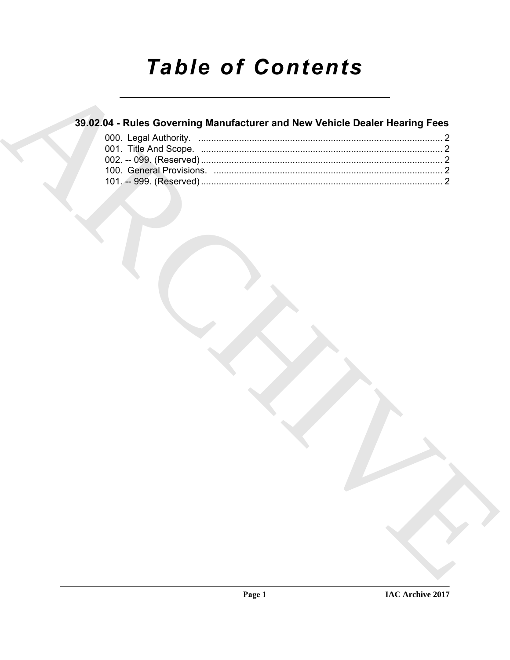# **Table of Contents**

### 39.02.04 - Rules Governing Manufacturer and New Vehicle Dealer Hearing Fees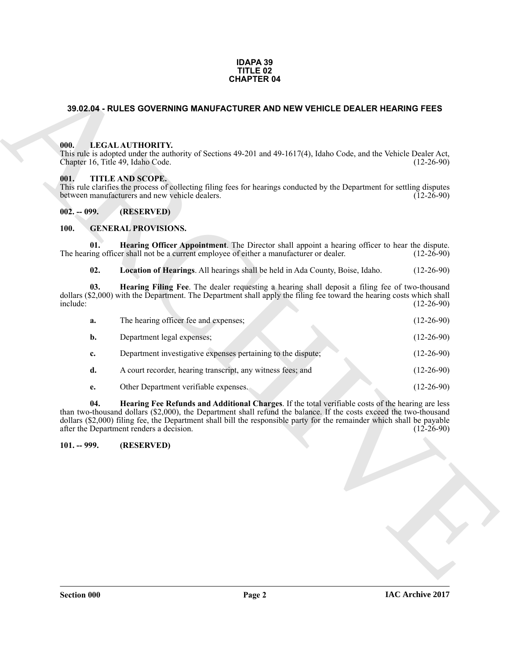#### **IDAPA 39 TITLE 02 CHAPTER 04**

#### <span id="page-1-0"></span>**39.02.04 - RULES GOVERNING MANUFACTURER AND NEW VEHICLE DEALER HEARING FEES**

#### <span id="page-1-1"></span>**000. LEGAL AUTHORITY.**

#### <span id="page-1-2"></span>**001. TITLE AND SCOPE.**

#### <span id="page-1-3"></span>**002. -- 099. (RESERVED)**

#### <span id="page-1-10"></span><span id="page-1-9"></span><span id="page-1-8"></span><span id="page-1-6"></span><span id="page-1-4"></span>**100. GENERAL PROVISIONS.**

|                                           | <b>CHAPTER 04</b>                                                                                                                                                                                                                                                                                                                                                                             |              |
|-------------------------------------------|-----------------------------------------------------------------------------------------------------------------------------------------------------------------------------------------------------------------------------------------------------------------------------------------------------------------------------------------------------------------------------------------------|--------------|
|                                           | 39.02.04 - RULES GOVERNING MANUFACTURER AND NEW VEHICLE DEALER HEARING FEES                                                                                                                                                                                                                                                                                                                   |              |
|                                           |                                                                                                                                                                                                                                                                                                                                                                                               |              |
| 000.<br>Chapter 16, Title 49, Idaho Code. | LEGAL AUTHORITY.<br>This rule is adopted under the authority of Sections 49-201 and 49-1617(4), Idaho Code, and the Vehicle Dealer Act,                                                                                                                                                                                                                                                       | $(12-26-90)$ |
| 001.                                      | TITLE AND SCOPE.<br>This rule clarifies the process of collecting filing fees for hearings conducted by the Department for settling disputes<br>between manufacturers and new vehicle dealers.                                                                                                                                                                                                | $(12-26-90)$ |
| $002. - 099.$                             | (RESERVED)                                                                                                                                                                                                                                                                                                                                                                                    |              |
| 100.                                      | <b>GENERAL PROVISIONS.</b>                                                                                                                                                                                                                                                                                                                                                                    |              |
| 01.                                       | Hearing Officer Appointment. The Director shall appoint a hearing officer to hear the dispute.<br>The hearing officer shall not be a current employee of either a manufacturer or dealer.                                                                                                                                                                                                     | $(12-26-90)$ |
| 02.                                       | Location of Hearings. All hearings shall be held in Ada County, Boise, Idaho.                                                                                                                                                                                                                                                                                                                 | $(12-26-90)$ |
| 03.<br>include:                           | Hearing Filing Fee. The dealer requesting a hearing shall deposit a filing fee of two-thousand<br>dollars (\$2,000) with the Department. The Department shall apply the filing fee toward the hearing costs which shall                                                                                                                                                                       | $(12-26-90)$ |
| a.                                        | The hearing officer fee and expenses;                                                                                                                                                                                                                                                                                                                                                         | $(12-26-90)$ |
| b.                                        | Department legal expenses;                                                                                                                                                                                                                                                                                                                                                                    | $(12-26-90)$ |
| c.                                        | Department investigative expenses pertaining to the dispute;                                                                                                                                                                                                                                                                                                                                  | $(12-26-90)$ |
| d.                                        | A court recorder, hearing transcript, any witness fees; and                                                                                                                                                                                                                                                                                                                                   | $(12-26-90)$ |
| e.                                        | Other Department verifiable expenses.                                                                                                                                                                                                                                                                                                                                                         | $(12-26-90)$ |
| 04.                                       | Hearing Fee Refunds and Additional Charges. If the total verifiable costs of the hearing are less<br>than two-thousand dollars (\$2,000), the Department shall refund the balance. If the costs exceed the two-thousand<br>dollars (\$2,000) filing fee, the Department shall bill the responsible party for the remainder which shall be payable<br>after the Department renders a decision. | $(12-26-90)$ |
| $101. - 999.$                             | (RESERVED)                                                                                                                                                                                                                                                                                                                                                                                    |              |
|                                           |                                                                                                                                                                                                                                                                                                                                                                                               |              |
|                                           |                                                                                                                                                                                                                                                                                                                                                                                               |              |
|                                           |                                                                                                                                                                                                                                                                                                                                                                                               |              |
|                                           |                                                                                                                                                                                                                                                                                                                                                                                               |              |
|                                           |                                                                                                                                                                                                                                                                                                                                                                                               |              |
|                                           |                                                                                                                                                                                                                                                                                                                                                                                               |              |
|                                           |                                                                                                                                                                                                                                                                                                                                                                                               |              |

#### <span id="page-1-7"></span><span id="page-1-5"></span>**101. -- 999. (RESERVED)**